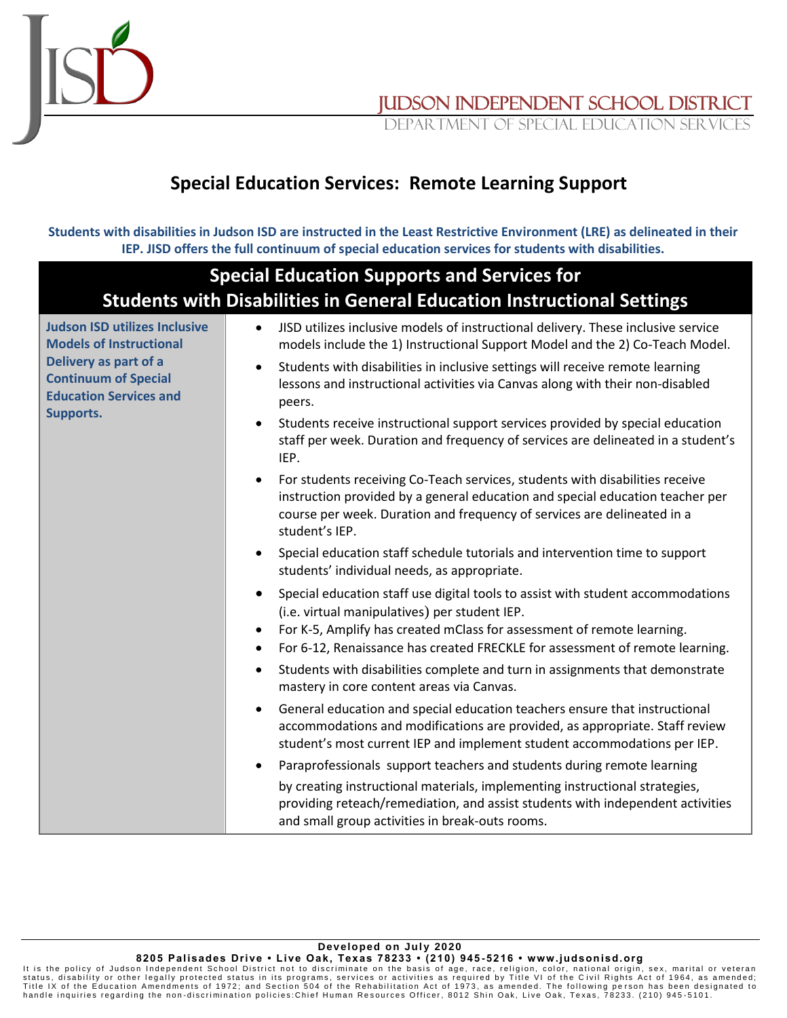

Judson independent school district

DEPARTMENT OF SPECIAL EDUCATION SERV

## **Special Education Services: Remote Learning Support**

**Students with disabilities in Judson ISD are instructed in the Least Restrictive Environment (LRE) as delineated in their IEP. JISD offers the full continuum of special education services for students with disabilities.**

| <b>Special Education Supports and Services for</b><br><b>Students with Disabilities in General Education Instructional Settings</b> |                                                                                                                                                                                                                                                                                                                                   |  |
|-------------------------------------------------------------------------------------------------------------------------------------|-----------------------------------------------------------------------------------------------------------------------------------------------------------------------------------------------------------------------------------------------------------------------------------------------------------------------------------|--|
|                                                                                                                                     |                                                                                                                                                                                                                                                                                                                                   |  |
|                                                                                                                                     | Special education staff schedule tutorials and intervention time to support<br>$\bullet$<br>students' individual needs, as appropriate.                                                                                                                                                                                           |  |
|                                                                                                                                     | Special education staff use digital tools to assist with student accommodations<br>$\bullet$<br>(i.e. virtual manipulatives) per student IEP.<br>For K-5, Amplify has created mClass for assessment of remote learning.<br>$\bullet$<br>For 6-12, Renaissance has created FRECKLE for assessment of remote learning.<br>$\bullet$ |  |
|                                                                                                                                     | Students with disabilities complete and turn in assignments that demonstrate<br>$\bullet$<br>mastery in core content areas via Canvas.                                                                                                                                                                                            |  |
|                                                                                                                                     | General education and special education teachers ensure that instructional<br>$\bullet$<br>accommodations and modifications are provided, as appropriate. Staff review<br>student's most current IEP and implement student accommodations per IEP.                                                                                |  |
|                                                                                                                                     | Paraprofessionals support teachers and students during remote learning<br>$\bullet$                                                                                                                                                                                                                                               |  |
|                                                                                                                                     | by creating instructional materials, implementing instructional strategies,<br>providing reteach/remediation, and assist students with independent activities<br>and small group activities in break-outs rooms.                                                                                                                  |  |

**Developed on July 2020 8205 Palisades Drive • Li ve Oak, Texas 78233 • (210) 945 -5216 • www.judsonisd.org**

lt is the policy of Judson Independent School District not to discriminate on the basis of age, race, religion, color, national origin, sex, marital or veteran<br>status, disability or other legally protected status in its pr handle inquiries regarding the non-discrimination policies: Chief Human Resources Officer, 8012 Shin Oak, Live Oak, Texas, 78233. (210) 945-5101.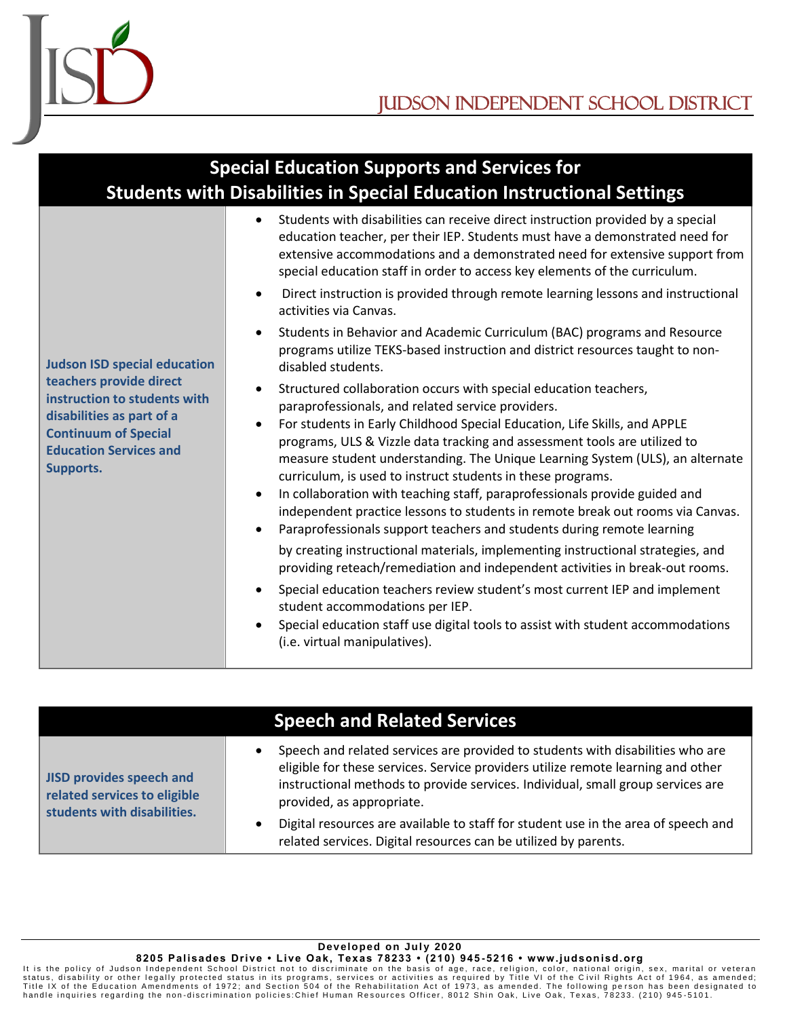

| <b>Special Education Supports and Services for</b><br><b>Students with Disabilities in Special Education Instructional Settings</b>                                      |                                                                                                                                                                                                                                                                                                                                                                                                                                                                                                                                                                                                                                                                                                                                                                                                                                                                                                                                                                                                                                                                                   |  |  |  |
|--------------------------------------------------------------------------------------------------------------------------------------------------------------------------|-----------------------------------------------------------------------------------------------------------------------------------------------------------------------------------------------------------------------------------------------------------------------------------------------------------------------------------------------------------------------------------------------------------------------------------------------------------------------------------------------------------------------------------------------------------------------------------------------------------------------------------------------------------------------------------------------------------------------------------------------------------------------------------------------------------------------------------------------------------------------------------------------------------------------------------------------------------------------------------------------------------------------------------------------------------------------------------|--|--|--|
|                                                                                                                                                                          | Students with disabilities can receive direct instruction provided by a special<br>education teacher, per their IEP. Students must have a demonstrated need for<br>extensive accommodations and a demonstrated need for extensive support from<br>special education staff in order to access key elements of the curriculum.                                                                                                                                                                                                                                                                                                                                                                                                                                                                                                                                                                                                                                                                                                                                                      |  |  |  |
|                                                                                                                                                                          | Direct instruction is provided through remote learning lessons and instructional<br>activities via Canvas.                                                                                                                                                                                                                                                                                                                                                                                                                                                                                                                                                                                                                                                                                                                                                                                                                                                                                                                                                                        |  |  |  |
| <b>Judson ISD special education</b>                                                                                                                                      | Students in Behavior and Academic Curriculum (BAC) programs and Resource<br>programs utilize TEKS-based instruction and district resources taught to non-<br>disabled students.                                                                                                                                                                                                                                                                                                                                                                                                                                                                                                                                                                                                                                                                                                                                                                                                                                                                                                   |  |  |  |
| teachers provide direct<br>instruction to students with<br>disabilities as part of a<br><b>Continuum of Special</b><br><b>Education Services and</b><br><b>Supports.</b> | Structured collaboration occurs with special education teachers,<br>paraprofessionals, and related service providers.<br>For students in Early Childhood Special Education, Life Skills, and APPLE<br>programs, ULS & Vizzle data tracking and assessment tools are utilized to<br>measure student understanding. The Unique Learning System (ULS), an alternate<br>curriculum, is used to instruct students in these programs.<br>In collaboration with teaching staff, paraprofessionals provide guided and<br>independent practice lessons to students in remote break out rooms via Canvas.<br>Paraprofessionals support teachers and students during remote learning<br>by creating instructional materials, implementing instructional strategies, and<br>providing reteach/remediation and independent activities in break-out rooms.<br>Special education teachers review student's most current IEP and implement<br>student accommodations per IEP.<br>Special education staff use digital tools to assist with student accommodations<br>(i.e. virtual manipulatives). |  |  |  |

|                                                                                                | <b>Speech and Related Services</b>                                                                                                                                                                                                                                                 |
|------------------------------------------------------------------------------------------------|------------------------------------------------------------------------------------------------------------------------------------------------------------------------------------------------------------------------------------------------------------------------------------|
| <b>JISD provides speech and</b><br>related services to eligible<br>students with disabilities. | Speech and related services are provided to students with disabilities who are<br>eligible for these services. Service providers utilize remote learning and other<br>instructional methods to provide services. Individual, small group services are<br>provided, as appropriate. |
|                                                                                                | Digital resources are available to staff for student use in the area of speech and<br>related services. Digital resources can be utilized by parents.                                                                                                                              |

## **Developed on July 2020**

**8205 Palisades Drive • Li ve Oak, Texas 78233 • (210) 945 -5216 • www.judsonisd.org**

lt is the policy of Judson Independent School District not to discriminate on the basis of age, race, religion, color, national origin, sex, marital or veteran<br>Title IX of the Education Amendments of 1972; and Section 504